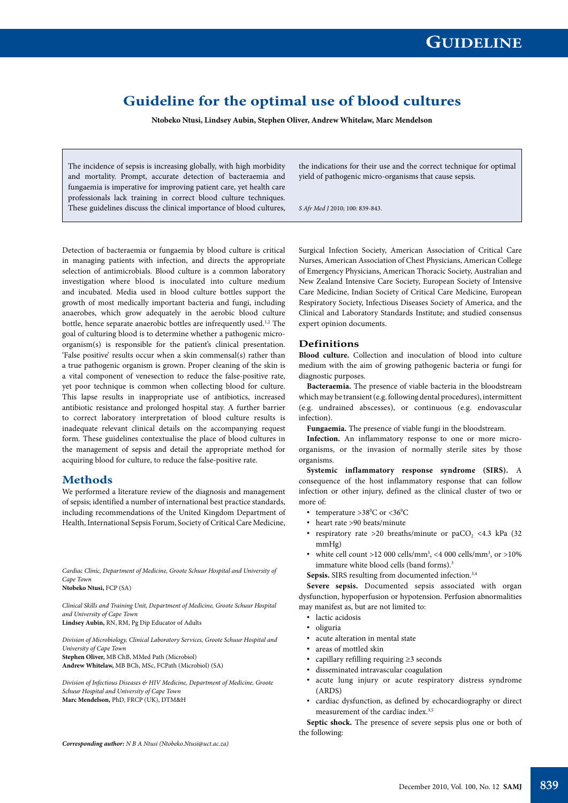## **Guideline for the optimal use of blood cultures**

**Ntobeko Ntusi, Lindsey Aubin, Stephen Oliver, Andrew Whitelaw, Marc Mendelson**

The incidence of sepsis is increasing globally, with high morbidity and mortality. Prompt, accurate detection of bacteraemia and fungaemia is imperative for improving patient care, yet health care professionals lack training in correct blood culture techniques. These guidelines discuss the clinical importance of blood cultures,

the indications for their use and the correct technique for optimal yield of pathogenic micro-organisms that cause sepsis.

*S Afr Med J* 2010; 100: 839-843.

Detection of bacteraemia or fungaemia by blood culture is critical in managing patients with infection, and directs the appropriate selection of antimicrobials. Blood culture is a common laboratory investigation where blood is inoculated into culture medium and incubated. Media used in blood culture bottles support the growth of most medically important bacteria and fungi, including anaerobes, which grow adequately in the aerobic blood culture bottle, hence separate anaerobic bottles are infrequently used.<sup>1,2</sup> The goal of culturing blood is to determine whether a pathogenic microorganism(s) is responsible for the patient's clinical presentation. 'False positive' results occur when a skin commensal(s) rather than a true pathogenic organism is grown. Proper cleaning of the skin is a vital component of venesection to reduce the false-positive rate, yet poor technique is common when collecting blood for culture. This lapse results in inappropriate use of antibiotics, increased antibiotic resistance and prolonged hospital stay. A further barrier to correct laboratory interpretation of blood culture results is inadequate relevant clinical details on the accompanying request form. These guidelines contextualise the place of blood cultures in the management of sepsis and detail the appropriate method for acquiring blood for culture, to reduce the false-positive rate.

#### **Methods**

We performed a literature review of the diagnosis and management of sepsis; identified a number of international best practice standards, including recommendations of the United Kingdom Department of Health, International Sepsis Forum, Society of Critical Care Medicine,

*Cardiac Clinic, Department of Medicine, Groote Schuur Hospital and University of Cape Town*

**Ntobeko Ntusi,** FCP (SA)

*Clinical Skills and Training Unit, Department of Medicine, Groote Schuur Hospital and University of Cape Town*

**Lindsey Aubin,** RN, RM, Pg Dip Educator of Adults

*Division of Microbiology, Clinical Laboratory Services, Groote Schuur Hospital and University of Cape Town* **Stephen Oliver,** MB ChB, MMed Path (Microbiol)

**Andrew Whitelaw,** MB BCh, MSc, FCPath (Microbiol) (SA)

*Division of Infectious Diseases & HIV Medicine, Department of Medicine, Groote Schuur Hospital and University of Cape Town* **Marc Mendelson,** PhD, FRCP (UK), DTM&H

*Corresponding author: N B A Ntusi (Ntobeko.Ntusi@uct.ac.za)*

Surgical Infection Society, American Association of Critical Care Nurses, American Association of Chest Physicians, American College of Emergency Physicians, American Thoracic Society, Australian and New Zealand Intensive Care Society, European Society of Intensive Care Medicine, Indian Society of Critical Care Medicine, European Respiratory Society, Infectious Diseases Society of America, and the Clinical and Laboratory Standards Institute; and studied consensus expert opinion documents.

#### **Definitions**

**Blood culture.** Collection and inoculation of blood into culture medium with the aim of growing pathogenic bacteria or fungi for diagnostic purposes.

**Bacteraemia.** The presence of viable bacteria in the bloodstream which may be transient (e.g. following dental procedures), intermittent (e.g. undrained abscesses), or continuous (e.g. endovascular infection).

**Fungaemia.** The presence of viable fungi in the bloodstream.

**Infection.** An inflammatory response to one or more microorganisms, or the invasion of normally sterile sites by those organisms.

**Systemic inflammatory response syndrome (SIRS).** A consequence of the host inflammatory response that can follow infection or other injury, defined as the clinical cluster of two or more of:

- temperature >  $38^{\circ}$ C or <  $36^{\circ}$ C
- heart rate >90 beats/minute
- respiratory rate >20 breaths/minute or  $paCO<sub>2</sub>$  <4.3 kPa (32 mmHg)
- white cell count >12 000 cells/mm<sup>3</sup>, <4 000 cells/mm<sup>3</sup>, or >10% immature white blood cells (band forms).<sup>3</sup>

Sepsis. SIRS resulting from documented infection.<sup>3,4</sup>

**Severe sepsis.** Documented sepsis associated with organ dysfunction, hypoperfusion or hypotension. Perfusion abnormalities may manifest as, but are not limited to:

- lactic acidosis
- oliguria
- acute alteration in mental state
- areas of mottled skin
- capillary refilling requiring ≥3 seconds
- disseminated intravascular coagulation
- acute lung injury or acute respiratory distress syndrome (ARDS)
- cardiac dysfunction, as defined by echocardiography or direct measurement of the cardiac index.<sup>3,5</sup>

**Septic shock.** The presence of severe sepsis plus one or both of the following: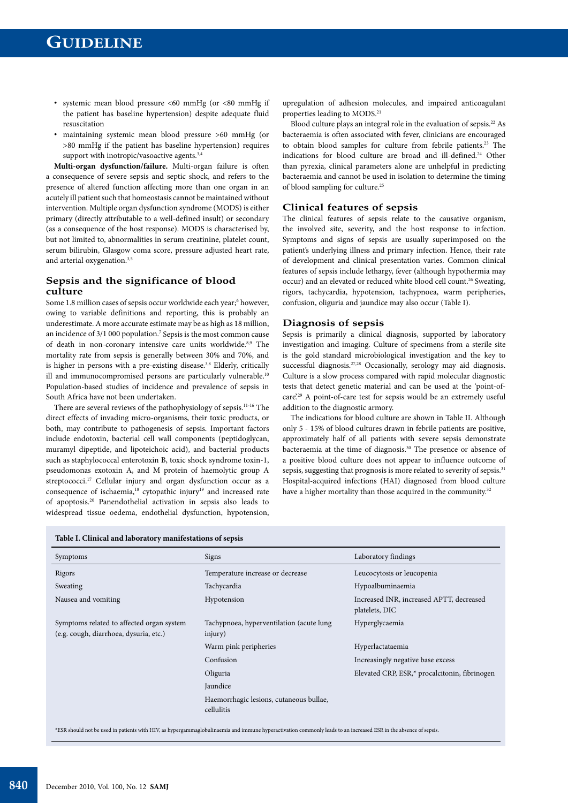- systemic mean blood pressure <60 mmHg (or <80 mmHg if the patient has baseline hypertension) despite adequate fluid resuscitation
- maintaining systemic mean blood pressure >60 mmHg (or >80 mmHg if the patient has baseline hypertension) requires support with inotropic/vasoactive agents. $3/4$

**Multi-organ dysfunction/failure.** Multi-organ failure is often a consequence of severe sepsis and septic shock, and refers to the presence of altered function affecting more than one organ in an acutely ill patient such that homeostasis cannot be maintained without intervention. Multiple organ dysfunction syndrome (MODS) is either primary (directly attributable to a well-defined insult) or secondary (as a consequence of the host response). MODS is characterised by, but not limited to, abnormalities in serum creatinine, platelet count, serum bilirubin, Glasgow coma score, pressure adjusted heart rate, and arterial oxygenation.3,5

#### **Sepsis and the significance of blood culture**

Some 1.8 million cases of sepsis occur worldwide each year;<sup>6</sup> however, owing to variable definitions and reporting, this is probably an underestimate. A more accurate estimate may be as high as 18 million, an incidence of 3/1 000 population.<sup>7</sup> Sepsis is the most common cause of death in non-coronary intensive care units worldwide.<sup>8,9</sup> The mortality rate from sepsis is generally between 30% and 70%, and is higher in persons with a pre-existing disease.<sup>3,8</sup> Elderly, critically ill and immunocompromised persons are particularly vulnerable.<sup>10</sup> Population-based studies of incidence and prevalence of sepsis in South Africa have not been undertaken.

There are several reviews of the pathophysiology of sepsis.  $^{\rm 11\text{-}16}$  The direct effects of invading micro-organisms, their toxic products, or both, may contribute to pathogenesis of sepsis. Important factors include endotoxin, bacterial cell wall components (peptidoglycan, muramyl dipeptide, and lipoteichoic acid), and bacterial products such as staphylococcal enterotoxin B, toxic shock syndrome toxin-1, pseudomonas exotoxin A, and M protein of haemolytic group A streptococci.<sup>17</sup> Cellular injury and organ dysfunction occur as a consequence of ischaemia,<sup>18</sup> cytopathic injury<sup>19</sup> and increased rate of apoptosis.20 Panendothelial activation in sepsis also leads to widespread tissue oedema, endothelial dysfunction, hypotension,

upregulation of adhesion molecules, and impaired anticoagulant properties leading to MODS.<sup>21</sup>

Blood culture plays an integral role in the evaluation of sepsis.<sup>22</sup> As bacteraemia is often associated with fever, clinicians are encouraged to obtain blood samples for culture from febrile patients.<sup>23</sup> The indications for blood culture are broad and ill-defined.<sup>24</sup> Other than pyrexia, clinical parameters alone are unhelpful in predicting bacteraemia and cannot be used in isolation to determine the timing of blood sampling for culture.25

#### **Clinical features of sepsis**

The clinical features of sepsis relate to the causative organism, the involved site, severity, and the host response to infection. Symptoms and signs of sepsis are usually superimposed on the patient's underlying illness and primary infection. Hence, their rate of development and clinical presentation varies. Common clinical features of sepsis include lethargy, fever (although hypothermia may occur) and an elevated or reduced white blood cell count.<sup>26</sup> Sweating, rigors, tachycardia, hypotension, tachypnoea, warm peripheries, confusion, oliguria and jaundice may also occur (Table I).

#### **Diagnosis of sepsis**

Sepsis is primarily a clinical diagnosis, supported by laboratory investigation and imaging. Culture of specimens from a sterile site is the gold standard microbiological investigation and the key to successful diagnosis.<sup>27,28</sup> Occasionally, serology may aid diagnosis. Culture is a slow process compared with rapid molecular diagnostic tests that detect genetic material and can be used at the 'point-ofcare.<sup>29</sup> A point-of-care test for sepsis would be an extremely useful addition to the diagnostic armory.

The indications for blood culture are shown in Table II. Although only 5 - 15% of blood cultures drawn in febrile patients are positive, approximately half of all patients with severe sepsis demonstrate bacteraemia at the time of diagnosis.<sup>30</sup> The presence or absence of a positive blood culture does not appear to influence outcome of sepsis, suggesting that prognosis is more related to severity of sepsis.<sup>31</sup> Hospital-acquired infections (HAI) diagnosed from blood culture have a higher mortality than those acquired in the community.<sup>32</sup>

| Symptoms                                                                            | Signs                                                 | Laboratory findings                                        |
|-------------------------------------------------------------------------------------|-------------------------------------------------------|------------------------------------------------------------|
| Rigors                                                                              | Temperature increase or decrease                      | Leucocytosis or leucopenia                                 |
| Sweating                                                                            | Tachycardia                                           | Hypoalbuminaemia                                           |
| Nausea and vomiting                                                                 | Hypotension                                           | Increased INR, increased APTT, decreased<br>platelets, DIC |
| Symptoms related to affected organ system<br>(e.g. cough, diarrhoea, dysuria, etc.) | Tachypnoea, hyperventilation (acute lung)<br>injury)  | Hyperglycaemia                                             |
|                                                                                     | Warm pink peripheries                                 | Hyperlactataemia                                           |
|                                                                                     | Confusion                                             | Increasingly negative base excess                          |
|                                                                                     | Oliguria                                              | Elevated CRP, ESR,* procalcitonin, fibrinogen              |
|                                                                                     | Jaundice                                              |                                                            |
|                                                                                     | Haemorrhagic lesions, cutaneous bullae,<br>cellulitis |                                                            |

\*ESR should not be used in patients with HIV, as hypergammaglobulinaemia and immune hyperactivation commonly leads to an increased ESR in the absence of sepsis.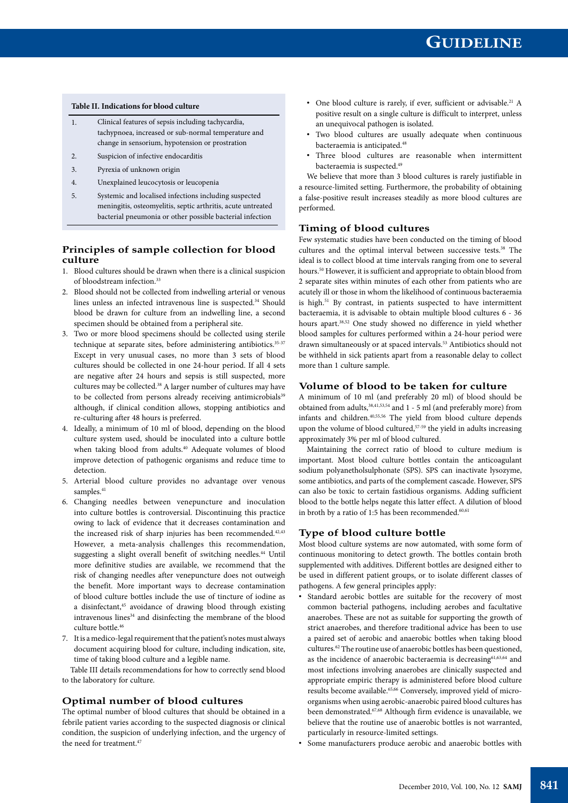#### **Table II. Indications for blood culture**

- 1. Clinical features of sepsis including tachycardia, tachypnoea, increased or sub-normal temperature and change in sensorium, hypotension or prostration
- 2. Suspicion of infective endocarditis
- 3. Pyrexia of unknown origin
- 4. Unexplained leucocytosis or leucopenia
- 5. Systemic and localised infections including suspected meningitis, osteomyelitis, septic arthritis, acute untreated bacterial pneumonia or other possible bacterial infection

### **Principles of sample collection for blood culture**

- 1. Blood cultures should be drawn when there is a clinical suspicion of bloodstream infection.33
- 2. Blood should not be collected from indwelling arterial or venous lines unless an infected intravenous line is suspected.<sup>34</sup> Should blood be drawn for culture from an indwelling line, a second specimen should be obtained from a peripheral site.
- 3. Two or more blood specimens should be collected using sterile technique at separate sites, before administering antibiotics.<sup>35-37</sup> Except in very unusual cases, no more than 3 sets of blood cultures should be collected in one 24-hour period. If all 4 sets are negative after 24 hours and sepsis is still suspected, more cultures may be collected.38 A larger number of cultures may have to be collected from persons already receiving antimicrobials<sup>39</sup> although, if clinical condition allows, stopping antibiotics and re-culturing after 48 hours is preferred.
- 4. Ideally, a minimum of 10 ml of blood, depending on the blood culture system used, should be inoculated into a culture bottle when taking blood from adults.40 Adequate volumes of blood improve detection of pathogenic organisms and reduce time to detection.
- 5. Arterial blood culture provides no advantage over venous samples.<sup>41</sup>
- 6. Changing needles between venepuncture and inoculation into culture bottles is controversial. Discontinuing this practice owing to lack of evidence that it decreases contamination and the increased risk of sharp injuries has been recommended.<sup>42,43</sup> However, a meta-analysis challenges this recommendation, suggesting a slight overall benefit of switching needles.<sup>44</sup> Until more definitive studies are available, we recommend that the risk of changing needles after venepuncture does not outweigh the benefit. More important ways to decrease contamination of blood culture bottles include the use of tincture of iodine as a disinfectant,<sup>45</sup> avoidance of drawing blood through existing intravenous lines<sup>34</sup> and disinfecting the membrane of the blood culture bottle.46
- 7. It is a medico-legal requirement that the patient's notes must always document acquiring blood for culture, including indication, site, time of taking blood culture and a legible name.

Table III details recommendations for how to correctly send blood to the laboratory for culture.

#### **Optimal number of blood cultures**

The optimal number of blood cultures that should be obtained in a febrile patient varies according to the suspected diagnosis or clinical condition, the suspicion of underlying infection, and the urgency of the need for treatment.<sup>47</sup>

- One blood culture is rarely, if ever, sufficient or advisable.<sup>21</sup> A positive result on a single culture is difficult to interpret, unless an unequivocal pathogen is isolated.
- Two blood cultures are usually adequate when continuous bacteraemia is anticipated.<sup>48</sup>
- Three blood cultures are reasonable when intermittent bacteraemia is suspected.49

We believe that more than 3 blood cultures is rarely justifiable in a resource-limited setting. Furthermore, the probability of obtaining a false-positive result increases steadily as more blood cultures are performed.

#### **Timing of blood cultures**

Few systematic studies have been conducted on the timing of blood cultures and the optimal interval between successive tests.<sup>38</sup> The ideal is to collect blood at time intervals ranging from one to several hours.<sup>50</sup> However, it is sufficient and appropriate to obtain blood from 2 separate sites within minutes of each other from patients who are acutely ill or those in whom the likelihood of continuous bacteraemia is high.<sup>51</sup> By contrast, in patients suspected to have intermittent bacteraemia, it is advisable to obtain multiple blood cultures 6 - 36 hours apart.38,52 One study showed no difference in yield whether blood samples for cultures performed within a 24-hour period were drawn simultaneously or at spaced intervals.<sup>53</sup> Antibiotics should not be withheld in sick patients apart from a reasonable delay to collect more than 1 culture sample.

#### **Volume of blood to be taken for culture**

A minimum of 10 ml (and preferably 20 ml) of blood should be obtained from adults,<sup>38,41,53,54</sup> and 1 - 5 ml (and preferably more) from infants and children.40,55,56 The yield from blood culture depends upon the volume of blood cultured,<sup>57-59</sup> the yield in adults increasing approximately 3% per ml of blood cultured.

Maintaining the correct ratio of blood to culture medium is important. Most blood culture bottles contain the anticoagulant sodium polyanetholsulphonate (SPS). SPS can inactivate lysozyme, some antibiotics, and parts of the complement cascade. However, SPS can also be toxic to certain fastidious organisms. Adding sufficient blood to the bottle helps negate this latter effect. A dilution of blood in broth by a ratio of 1:5 has been recommended.<sup>60,61</sup>

#### **Type of blood culture bottle**

Most blood culture systems are now automated, with some form of continuous monitoring to detect growth. The bottles contain broth supplemented with additives. Different bottles are designed either to be used in different patient groups, or to isolate different classes of pathogens. A few general principles apply:

- Standard aerobic bottles are suitable for the recovery of most common bacterial pathogens, including aerobes and facultative anaerobes. These are not as suitable for supporting the growth of strict anaerobes, and therefore traditional advice has been to use a paired set of aerobic and anaerobic bottles when taking blood cultures.<sup>62</sup> The routine use of anaerobic bottles has been questioned, as the incidence of anaerobic bacteraemia is decreasing<sup>61,63,64</sup> and most infections involving anaerobes are clinically suspected and appropriate empiric therapy is administered before blood culture results become available.<sup>65,66</sup> Conversely, improved yield of microorganisms when using aerobic-anaerobic paired blood cultures has been demonstrated.<sup>67,68</sup> Although firm evidence is unavailable, we believe that the routine use of anaerobic bottles is not warranted, particularly in resource-limited settings.
- Some manufacturers produce aerobic and anaerobic bottles with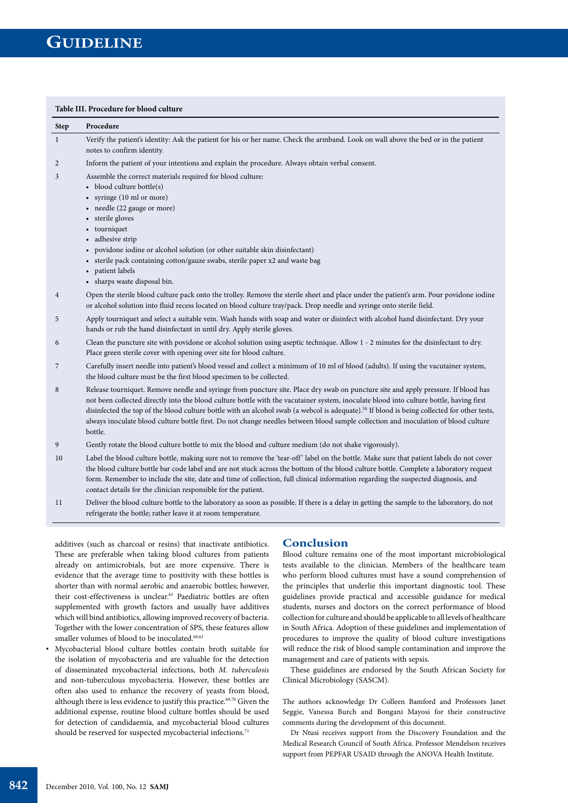#### **Table III. Procedure for blood culture**

| <b>Step</b>    | Procedure                                                                                                                                                                                                                                                                                                                                                                                                                                                                                                                                                                                  |
|----------------|--------------------------------------------------------------------------------------------------------------------------------------------------------------------------------------------------------------------------------------------------------------------------------------------------------------------------------------------------------------------------------------------------------------------------------------------------------------------------------------------------------------------------------------------------------------------------------------------|
| $\mathbf{1}$   | Verify the patient's identity: Ask the patient for his or her name. Check the armband. Look on wall above the bed or in the patient<br>notes to confirm identity.                                                                                                                                                                                                                                                                                                                                                                                                                          |
| 2              | Inform the patient of your intentions and explain the procedure. Always obtain verbal consent.                                                                                                                                                                                                                                                                                                                                                                                                                                                                                             |
| 3              | Assemble the correct materials required for blood culture:<br>• blood culture bottle(s)<br>• syringe (10 ml or more)<br>• needle (22 gauge or more)<br>• sterile gloves<br>tourniquet<br>$\bullet$<br>adhesive strip<br>$\bullet$<br>· povidone iodine or alcohol solution (or other suitable skin disinfectant)<br>• sterile pack containing cotton/gauze swabs, sterile paper x2 and waste bag<br>• patient labels<br>• sharps waste disposal bin.                                                                                                                                       |
| $\overline{4}$ | Open the sterile blood culture pack onto the trolley. Remove the sterile sheet and place under the patient's arm. Pour povidone iodine<br>or alcohol solution into fluid recess located on blood culture tray/pack. Drop needle and syringe onto sterile field.                                                                                                                                                                                                                                                                                                                            |
| 5              | Apply tourniquet and select a suitable vein. Wash hands with soap and water or disinfect with alcohol hand disinfectant. Dry your<br>hands or rub the hand disinfectant in until dry. Apply sterile gloves.                                                                                                                                                                                                                                                                                                                                                                                |
| 6              | Clean the puncture site with povidone or alcohol solution using aseptic technique. Allow 1 - 2 minutes for the disinfectant to dry.<br>Place green sterile cover with opening over site for blood culture.                                                                                                                                                                                                                                                                                                                                                                                 |
| 7              | Carefully insert needle into patient's blood vessel and collect a minimum of 10 ml of blood (adults). If using the vacutainer system,<br>the blood culture must be the first blood specimen to be collected.                                                                                                                                                                                                                                                                                                                                                                               |
| 8              | Release tourniquet. Remove needle and syringe from puncture site. Place dry swab on puncture site and apply pressure. If blood has<br>not been collected directly into the blood culture bottle with the vacutainer system, inoculate blood into culture bottle, having first<br>disinfected the top of the blood culture bottle with an alcohol swab (a webcol is adequate). <sup>50</sup> If blood is being collected for other tests,<br>always inoculate blood culture bottle first. Do not change needles between blood sample collection and inoculation of blood culture<br>bottle. |
| 9              | Gently rotate the blood culture bottle to mix the blood and culture medium (do not shake vigorously).                                                                                                                                                                                                                                                                                                                                                                                                                                                                                      |
| 10             | Label the blood culture bottle, making sure not to remove the 'tear-off' label on the bottle. Make sure that patient labels do not cover<br>the blood culture bottle bar code label and are not stuck across the bottom of the blood culture bottle. Complete a laboratory request<br>form. Remember to include the site, date and time of collection, full clinical information regarding the suspected diagnosis, and<br>contact details for the clinician responsible for the patient.                                                                                                  |
| 11             | Deliver the blood culture bottle to the laboratory as soon as possible. If there is a delay in getting the sample to the laboratory, do not<br>refrigerate the bottle; rather leave it at room temperature.                                                                                                                                                                                                                                                                                                                                                                                |

additives (such as charcoal or resins) that inactivate antibiotics. These are preferable when taking blood cultures from patients already on antimicrobials, but are more expensive. There is evidence that the average time to positivity with these bottles is shorter than with normal aerobic and anaerobic bottles; however, their cost-effectiveness is unclear.<sup>61</sup> Paediatric bottles are often supplemented with growth factors and usually have additives which will bind antibiotics, allowing improved recovery of bacteria. Together with the lower concentration of SPS, these features allow smaller volumes of blood to be inoculated.<sup>60,61</sup>

• Mycobacterial blood culture bottles contain broth suitable for the isolation of mycobacteria and are valuable for the detection of disseminated mycobacterial infections, both *M. tuberculosis* and non-tuberculous mycobacteria. However, these bottles are often also used to enhance the recovery of yeasts from blood, although there is less evidence to justify this practice.<sup>69,70</sup> Given the additional expense, routine blood culture bottles should be used for detection of candidaemia, and mycobacterial blood cultures should be reserved for suspected mycobacterial infections.<sup>71</sup>

### **Conclusion**

Blood culture remains one of the most important microbiological tests available to the clinician. Members of the healthcare team who perform blood cultures must have a sound comprehension of the principles that underlie this important diagnostic tool. These guidelines provide practical and accessible guidance for medical students, nurses and doctors on the correct performance of blood collection for culture and should be applicable to all levels of healthcare in South Africa. Adoption of these guidelines and implementation of procedures to improve the quality of blood culture investigations will reduce the risk of blood sample contamination and improve the management and care of patients with sepsis.

These guidelines are endorsed by the South African Society for Clinical Microbiology (SASCM).

The authors acknowledge Dr Colleen Bamford and Professors Janet Seggie, Vanessa Burch and Bongani Mayosi for their constructive comments during the development of this document.

Dr Ntusi receives support from the Discovery Foundation and the Medical Research Council of South Africa. Professor Mendelson receives support from PEPFAR USAID through the ANOVA Health Institute.